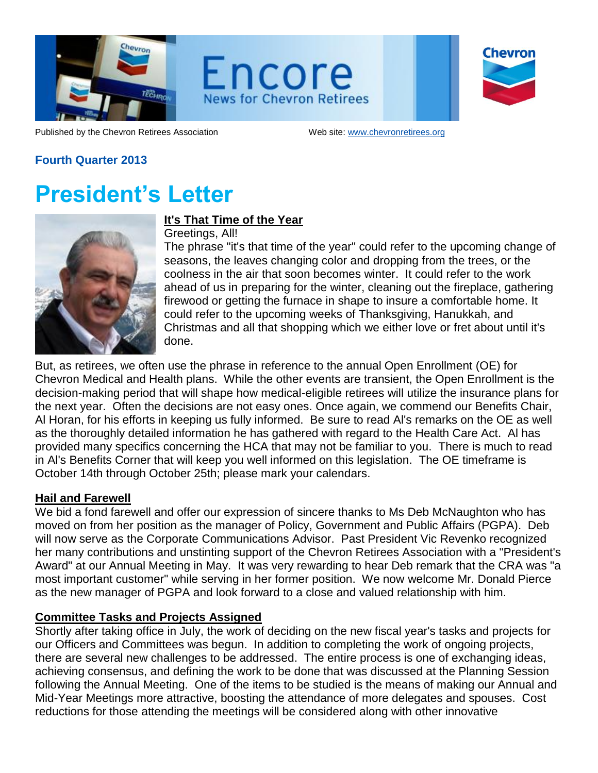

Encore **News for Chevron Retirees** 

| <b>Chevron</b> |
|----------------|
|                |
|                |

Published by the Chevron Retirees Association Web site: www.chevronretirees.org

## **Fourth Quarter 2013**

## **President's Letter**



## **It's That Time of the Year**

Greetings, All!

The phrase "it's that time of the year" could refer to the upcoming change of seasons, the leaves changing color and dropping from the trees, or the coolness in the air that soon becomes winter. It could refer to the work ahead of us in preparing for the winter, cleaning out the fireplace, gathering firewood or getting the furnace in shape to insure a comfortable home. It could refer to the upcoming weeks of Thanksgiving, Hanukkah, and Christmas and all that shopping which we either love or fret about until it's done.

But, as retirees, we often use the phrase in reference to the annual Open Enrollment (OE) for Chevron Medical and Health plans. While the other events are transient, the Open Enrollment is the decision-making period that will shape how medical-eligible retirees will utilize the insurance plans for the next year. Often the decisions are not easy ones. Once again, we commend our Benefits Chair, Al Horan, for his efforts in keeping us fully informed. Be sure to read Al's remarks on the OE as well as the thoroughly detailed information he has gathered with regard to the Health Care Act. Al has provided many specifics concerning the HCA that may not be familiar to you. There is much to read in Al's Benefits Corner that will keep you well informed on this legislation. The OE timeframe is October 14th through October 25th; please mark your calendars.

### **Hail and Farewell**

We bid a fond farewell and offer our expression of sincere thanks to Ms Deb McNaughton who has moved on from her position as the manager of Policy, Government and Public Affairs (PGPA). Deb will now serve as the Corporate Communications Advisor. Past President Vic Revenko recognized her many contributions and unstinting support of the Chevron Retirees Association with a "President's Award" at our Annual Meeting in May. It was very rewarding to hear Deb remark that the CRA was "a most important customer" while serving in her former position. We now welcome Mr. Donald Pierce as the new manager of PGPA and look forward to a close and valued relationship with him.

### **Committee Tasks and Projects Assigned**

Shortly after taking office in July, the work of deciding on the new fiscal year's tasks and projects for our Officers and Committees was begun. In addition to completing the work of ongoing projects, there are several new challenges to be addressed. The entire process is one of exchanging ideas, achieving consensus, and defining the work to be done that was discussed at the Planning Session following the Annual Meeting. One of the items to be studied is the means of making our Annual and Mid-Year Meetings more attractive, boosting the attendance of more delegates and spouses. Cost reductions for those attending the meetings will be considered along with other innovative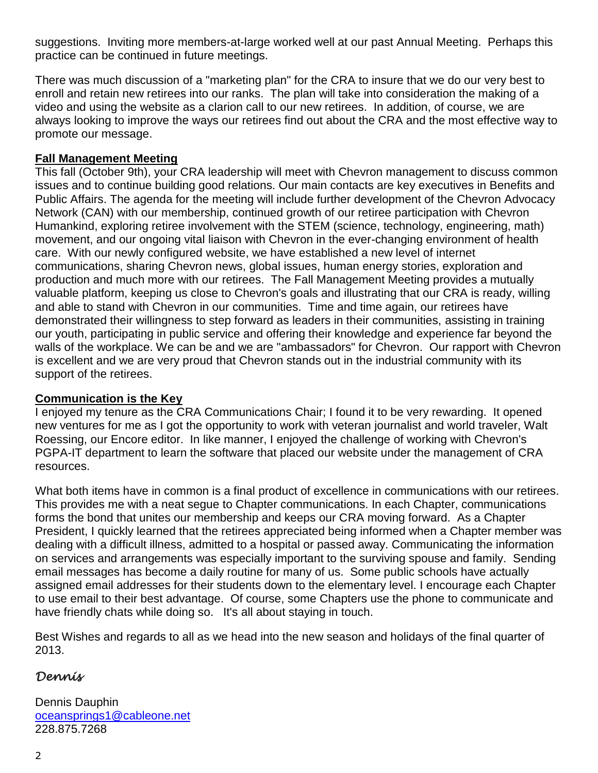suggestions. Inviting more members-at-large worked well at our past Annual Meeting. Perhaps this practice can be continued in future meetings.

There was much discussion of a "marketing plan" for the CRA to insure that we do our very best to enroll and retain new retirees into our ranks. The plan will take into consideration the making of a video and using the website as a clarion call to our new retirees. In addition, of course, we are always looking to improve the ways our retirees find out about the CRA and the most effective way to promote our message.

#### **Fall Management Meeting**

This fall (October 9th), your CRA leadership will meet with Chevron management to discuss common issues and to continue building good relations. Our main contacts are key executives in Benefits and Public Affairs. The agenda for the meeting will include further development of the Chevron Advocacy Network (CAN) with our membership, continued growth of our retiree participation with Chevron Humankind, exploring retiree involvement with the STEM (science, technology, engineering, math) movement, and our ongoing vital liaison with Chevron in the ever-changing environment of health care. With our newly configured website, we have established a new level of internet communications, sharing Chevron news, global issues, human energy stories, exploration and production and much more with our retirees. The Fall Management Meeting provides a mutually valuable platform, keeping us close to Chevron's goals and illustrating that our CRA is ready, willing and able to stand with Chevron in our communities. Time and time again, our retirees have demonstrated their willingness to step forward as leaders in their communities, assisting in training our youth, participating in public service and offering their knowledge and experience far beyond the walls of the workplace. We can be and we are "ambassadors" for Chevron. Our rapport with Chevron is excellent and we are very proud that Chevron stands out in the industrial community with its support of the retirees.

### **Communication is the Key**

I enjoyed my tenure as the CRA Communications Chair; I found it to be very rewarding. It opened new ventures for me as I got the opportunity to work with veteran journalist and world traveler, Walt Roessing, our Encore editor. In like manner, I enjoyed the challenge of working with Chevron's PGPA-IT department to learn the software that placed our website under the management of CRA resources.

What both items have in common is a final product of excellence in communications with our retirees. This provides me with a neat segue to Chapter communications. In each Chapter, communications forms the bond that unites our membership and keeps our CRA moving forward. As a Chapter President, I quickly learned that the retirees appreciated being informed when a Chapter member was dealing with a difficult illness, admitted to a hospital or passed away. Communicating the information on services and arrangements was especially important to the surviving spouse and family. Sending email messages has become a daily routine for many of us. Some public schools have actually assigned email addresses for their students down to the elementary level. I encourage each Chapter to use email to their best advantage. Of course, some Chapters use the phone to communicate and have friendly chats while doing so. It's all about staying in touch.

Best Wishes and regards to all as we head into the new season and holidays of the final quarter of 2013.

## *Dennis*

Dennis Dauphin [oceansprings1@cableone.net](mailto:oceansprings1@cableone.net) 228.875.7268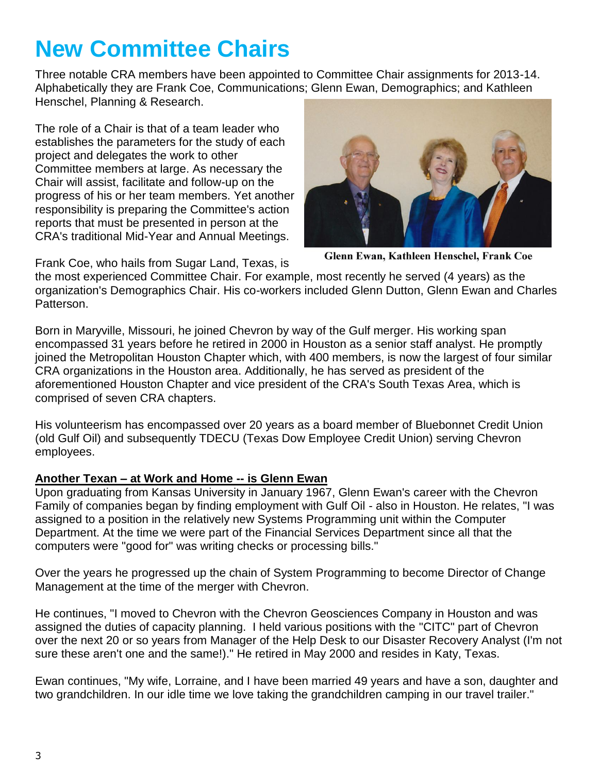# **New Committee Chairs**

Three notable CRA members have been appointed to Committee Chair assignments for 2013-14. Alphabetically they are Frank Coe, Communications; Glenn Ewan, Demographics; and Kathleen Henschel, Planning & Research.

The role of a Chair is that of a team leader who establishes the parameters for the study of each project and delegates the work to other Committee members at large. As necessary the Chair will assist, facilitate and follow-up on the progress of his or her team members. Yet another responsibility is preparing the Committee's action reports that must be presented in person at the CRA's traditional Mid-Year and Annual Meetings.



Glenn Ewan, Kathleen Henschel, Frank Coe

Frank Coe, who hails from Sugar Land, Texas, is

the most experienced Committee Chair. For example, most recently he served (4 years) as the organization's Demographics Chair. His co-workers included Glenn Dutton, Glenn Ewan and Charles Patterson.

Born in Maryville, Missouri, he joined Chevron by way of the Gulf merger. His working span encompassed 31 years before he retired in 2000 in Houston as a senior staff analyst. He promptly joined the Metropolitan Houston Chapter which, with 400 members, is now the largest of four similar CRA organizations in the Houston area. Additionally, he has served as president of the aforementioned Houston Chapter and vice president of the CRA's South Texas Area, which is comprised of seven CRA chapters.

His volunteerism has encompassed over 20 years as a board member of Bluebonnet Credit Union (old Gulf Oil) and subsequently TDECU (Texas Dow Employee Credit Union) serving Chevron employees.

## **Another Texan – at Work and Home -- is Glenn Ewan**

Upon graduating from Kansas University in January 1967, Glenn Ewan's career with the Chevron Family of companies began by finding employment with Gulf Oil - also in Houston. He relates, "I was assigned to a position in the relatively new Systems Programming unit within the Computer Department. At the time we were part of the Financial Services Department since all that the computers were "good for" was writing checks or processing bills."

Over the years he progressed up the chain of System Programming to become Director of Change Management at the time of the merger with Chevron.

He continues, "I moved to Chevron with the Chevron Geosciences Company in Houston and was assigned the duties of capacity planning. I held various positions with the "CITC" part of Chevron over the next 20 or so years from Manager of the Help Desk to our Disaster Recovery Analyst (I'm not sure these aren't one and the same!)." He retired in May 2000 and resides in Katy, Texas.

Ewan continues, "My wife, Lorraine, and I have been married 49 years and have a son, daughter and two grandchildren. In our idle time we love taking the grandchildren camping in our travel trailer."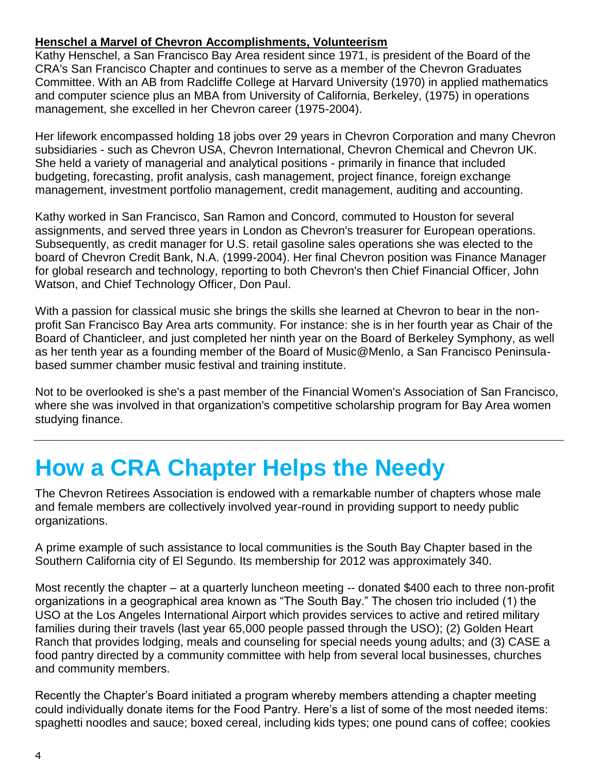### **Henschel a Marvel of Chevron Accomplishments, Volunteerism**

Kathy Henschel, a San Francisco Bay Area resident since 1971, is president of the Board of the CRA's San Francisco Chapter and continues to serve as a member of the Chevron Graduates Committee. With an AB from Radcliffe College at Harvard University (1970) in applied mathematics and computer science plus an MBA from University of California, Berkeley, (1975) in operations management, she excelled in her Chevron career (1975-2004).

Her lifework encompassed holding 18 jobs over 29 years in Chevron Corporation and many Chevron subsidiaries - such as Chevron USA, Chevron International, Chevron Chemical and Chevron UK. She held a variety of managerial and analytical positions - primarily in finance that included budgeting, forecasting, profit analysis, cash management, project finance, foreign exchange management, investment portfolio management, credit management, auditing and accounting.

Kathy worked in San Francisco, San Ramon and Concord, commuted to Houston for several assignments, and served three years in London as Chevron's treasurer for European operations. Subsequently, as credit manager for U.S. retail gasoline sales operations she was elected to the board of Chevron Credit Bank, N.A. (1999-2004). Her final Chevron position was Finance Manager for global research and technology, reporting to both Chevron's then Chief Financial Officer, John Watson, and Chief Technology Officer, Don Paul.

With a passion for classical music she brings the skills she learned at Chevron to bear in the nonprofit San Francisco Bay Area arts community. For instance: she is in her fourth year as Chair of the Board of Chanticleer, and just completed her ninth year on the Board of Berkeley Symphony, as well as her tenth year as a founding member of the Board of Music@Menlo, a San Francisco Peninsulabased summer chamber music festival and training institute.

Not to be overlooked is she's a past member of the Financial Women's Association of San Francisco, where she was involved in that organization's competitive scholarship program for Bay Area women studying finance.

## **How a CRA Chapter Helps the Needy**

The Chevron Retirees Association is endowed with a remarkable number of chapters whose male and female members are collectively involved year-round in providing support to needy public organizations.

A prime example of such assistance to local communities is the South Bay Chapter based in the Southern California city of El Segundo. Its membership for 2012 was approximately 340.

Most recently the chapter – at a quarterly luncheon meeting -- donated \$400 each to three non-profit organizations in a geographical area known as "The South Bay." The chosen trio included (1) the USO at the Los Angeles International Airport which provides services to active and retired military families during their travels (last year 65,000 people passed through the USO); (2) Golden Heart Ranch that provides lodging, meals and counseling for special needs young adults; and (3) CASE a food pantry directed by a community committee with help from several local businesses, churches and community members.

Recently the Chapter's Board initiated a program whereby members attending a chapter meeting could individually donate items for the Food Pantry. Here's a list of some of the most needed items: spaghetti noodles and sauce; boxed cereal, including kids types; one pound cans of coffee; cookies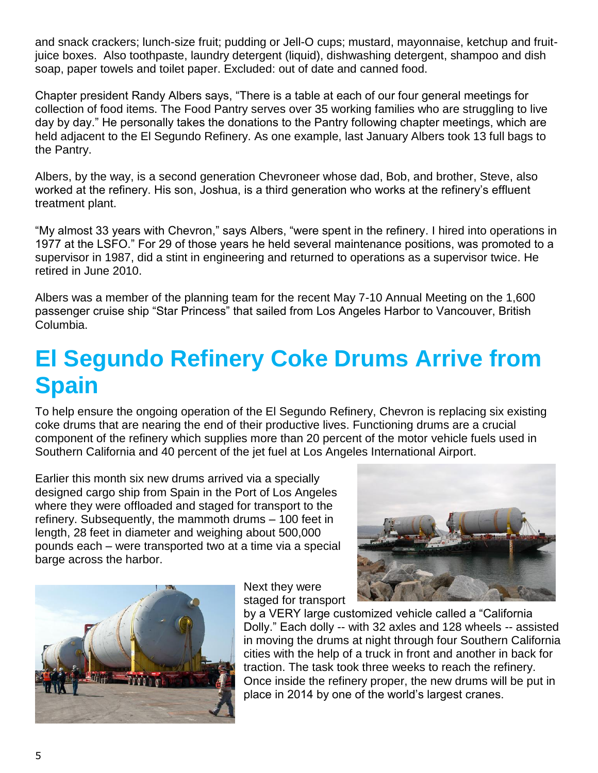and snack crackers; lunch-size fruit; pudding or Jell-O cups; mustard, mayonnaise, ketchup and fruitjuice boxes. Also toothpaste, laundry detergent (liquid), dishwashing detergent, shampoo and dish soap, paper towels and toilet paper. Excluded: out of date and canned food.

Chapter president Randy Albers says, "There is a table at each of our four general meetings for collection of food items. The Food Pantry serves over 35 working families who are struggling to live day by day." He personally takes the donations to the Pantry following chapter meetings, which are held adjacent to the El Segundo Refinery. As one example, last January Albers took 13 full bags to the Pantry.

Albers, by the way, is a second generation Chevroneer whose dad, Bob, and brother, Steve, also worked at the refinery. His son, Joshua, is a third generation who works at the refinery's effluent treatment plant.

"My almost 33 years with Chevron," says Albers, "were spent in the refinery. I hired into operations in 1977 at the LSFO." For 29 of those years he held several maintenance positions, was promoted to a supervisor in 1987, did a stint in engineering and returned to operations as a supervisor twice. He retired in June 2010.

Albers was a member of the planning team for the recent May 7-10 Annual Meeting on the 1,600 passenger cruise ship "Star Princess" that sailed from Los Angeles Harbor to Vancouver, British Columbia.

## **El Segundo Refinery Coke Drums Arrive from Spain**

To help ensure the ongoing operation of the El Segundo Refinery, Chevron is replacing six existing coke drums that are nearing the end of their productive lives. Functioning drums are a crucial component of the refinery which supplies more than 20 percent of the motor vehicle fuels used in Southern California and 40 percent of the jet fuel at Los Angeles International Airport.

Earlier this month six new drums arrived via a specially designed cargo ship from Spain in the Port of Los Angeles where they were offloaded and staged for transport to the refinery. Subsequently, the mammoth drums – 100 feet in length, 28 feet in diameter and weighing about 500,000 pounds each – were transported two at a time via a special barge across the harbor.





Next they were staged for transport

by a VERY large customized vehicle called a "California Dolly." Each dolly -- with 32 axles and 128 wheels -- assisted in moving the drums at night through four Southern California cities with the help of a truck in front and another in back for traction. The task took three weeks to reach the refinery. Once inside the refinery proper, the new drums will be put in place in 2014 by one of the world's largest cranes.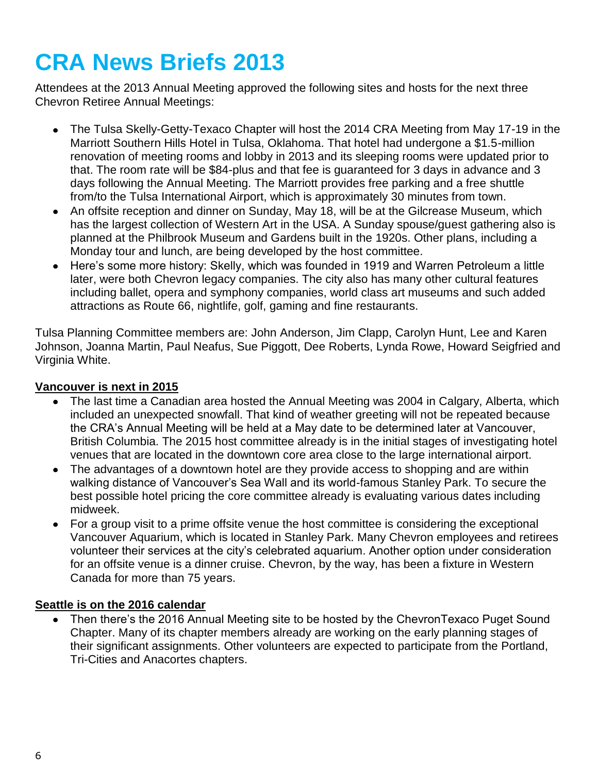# **CRA News Briefs 2013**

Attendees at the 2013 Annual Meeting approved the following sites and hosts for the next three Chevron Retiree Annual Meetings:

- The Tulsa Skelly-Getty-Texaco Chapter will host the 2014 CRA Meeting from May 17-19 in the  $\bullet$ Marriott Southern Hills Hotel in Tulsa, Oklahoma. That hotel had undergone a \$1.5-million renovation of meeting rooms and lobby in 2013 and its sleeping rooms were updated prior to that. The room rate will be \$84-plus and that fee is guaranteed for 3 days in advance and 3 days following the Annual Meeting. The Marriott provides free parking and a free shuttle from/to the Tulsa International Airport, which is approximately 30 minutes from town.
- An offsite reception and dinner on Sunday, May 18, will be at the Gilcrease Museum, which has the largest collection of Western Art in the USA. A Sunday spouse/guest gathering also is planned at the Philbrook Museum and Gardens built in the 1920s. Other plans, including a Monday tour and lunch, are being developed by the host committee.
- Here's some more history: Skelly, which was founded in 1919 and Warren Petroleum a little  $\bullet$ later, were both Chevron legacy companies. The city also has many other cultural features including ballet, opera and symphony companies, world class art museums and such added attractions as Route 66, nightlife, golf, gaming and fine restaurants.

Tulsa Planning Committee members are: John Anderson, Jim Clapp, Carolyn Hunt, Lee and Karen Johnson, Joanna Martin, Paul Neafus, Sue Piggott, Dee Roberts, Lynda Rowe, Howard Seigfried and Virginia White.

#### **Vancouver is next in 2015**

- The last time a Canadian area hosted the Annual Meeting was 2004 in Calgary, Alberta, which included an unexpected snowfall. That kind of weather greeting will not be repeated because the CRA's Annual Meeting will be held at a May date to be determined later at Vancouver, British Columbia. The 2015 host committee already is in the initial stages of investigating hotel venues that are located in the downtown core area close to the large international airport.
- The advantages of a downtown hotel are they provide access to shopping and are within walking distance of Vancouver's Sea Wall and its world-famous Stanley Park. To secure the best possible hotel pricing the core committee already is evaluating various dates including midweek.
- For a group visit to a prime offsite venue the host committee is considering the exceptional Vancouver Aquarium, which is located in Stanley Park. Many Chevron employees and retirees volunteer their services at the city's celebrated aquarium. Another option under consideration for an offsite venue is a dinner cruise. Chevron, by the way, has been a fixture in Western Canada for more than 75 years.

#### **Seattle is on the 2016 calendar**

Then there's the 2016 Annual Meeting site to be hosted by the ChevronTexaco Puget Sound Chapter. Many of its chapter members already are working on the early planning stages of their significant assignments. Other volunteers are expected to participate from the Portland, Tri-Cities and Anacortes chapters.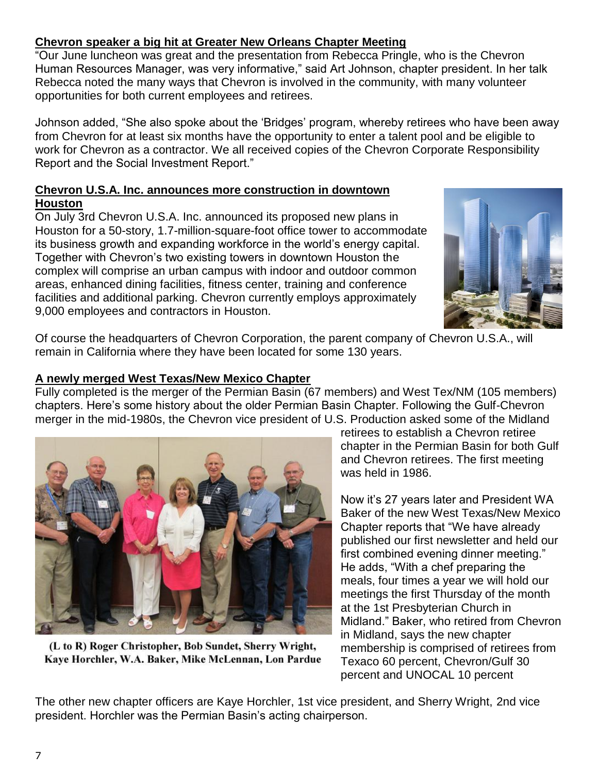### **Chevron speaker a big hit at Greater New Orleans Chapter Meeting**

"Our June luncheon was great and the presentation from Rebecca Pringle, who is the Chevron Human Resources Manager, was very informative," said Art Johnson, chapter president. In her talk Rebecca noted the many ways that Chevron is involved in the community, with many volunteer opportunities for both current employees and retirees.

Johnson added, "She also spoke about the 'Bridges' program, whereby retirees who have been away from Chevron for at least six months have the opportunity to enter a talent pool and be eligible to work for Chevron as a contractor. We all received copies of the Chevron Corporate Responsibility Report and the Social Investment Report."

#### **Chevron U.S.A. Inc. announces more construction in downtown Houston**

On July 3rd Chevron U.S.A. Inc. announced its proposed new plans in Houston for a 50-story, 1.7-million-square-foot office tower to accommodate its business growth and expanding workforce in the world's energy capital. Together with Chevron's two existing towers in downtown Houston the complex will comprise an urban campus with indoor and outdoor common areas, enhanced dining facilities, fitness center, training and conference facilities and additional parking. Chevron currently employs approximately 9,000 employees and contractors in Houston.



Of course the headquarters of Chevron Corporation, the parent company of Chevron U.S.A., will remain in California where they have been located for some 130 years.

### **A newly merged West Texas/New Mexico Chapter**

Fully completed is the merger of the Permian Basin (67 members) and West Tex/NM (105 members) chapters. Here's some history about the older Permian Basin Chapter. Following the Gulf-Chevron merger in the mid-1980s, the Chevron vice president of U.S. Production asked some of the Midland



(L to R) Roger Christopher, Bob Sundet, Sherry Wright, Kaye Horchler, W.A. Baker, Mike McLennan, Lon Pardue

retirees to establish a Chevron retiree chapter in the Permian Basin for both Gulf and Chevron retirees. The first meeting was held in 1986.

Now it's 27 years later and President WA Baker of the new West Texas/New Mexico Chapter reports that "We have already published our first newsletter and held our first combined evening dinner meeting." He adds, "With a chef preparing the meals, four times a year we will hold our meetings the first Thursday of the month at the 1st Presbyterian Church in Midland." Baker, who retired from Chevron in Midland, says the new chapter membership is comprised of retirees from Texaco 60 percent, Chevron/Gulf 30 percent and UNOCAL 10 percent

The other new chapter officers are Kaye Horchler, 1st vice president, and Sherry Wright, 2nd vice president. Horchler was the Permian Basin's acting chairperson.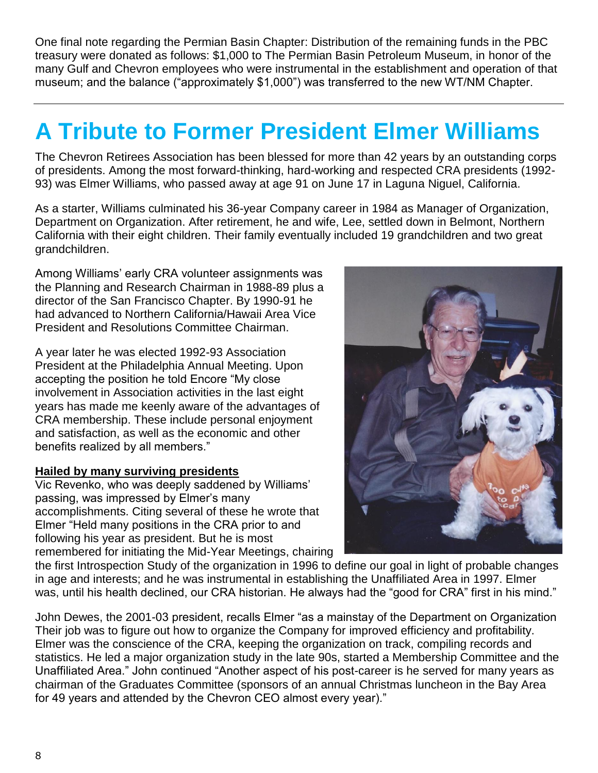One final note regarding the Permian Basin Chapter: Distribution of the remaining funds in the PBC treasury were donated as follows: \$1,000 to The Permian Basin Petroleum Museum, in honor of the many Gulf and Chevron employees who were instrumental in the establishment and operation of that museum; and the balance ("approximately \$1,000") was transferred to the new WT/NM Chapter.

# **A Tribute to Former President Elmer Williams**

The Chevron Retirees Association has been blessed for more than 42 years by an outstanding corps of presidents. Among the most forward-thinking, hard-working and respected CRA presidents (1992- 93) was Elmer Williams, who passed away at age 91 on June 17 in Laguna Niguel, California.

As a starter, Williams culminated his 36-year Company career in 1984 as Manager of Organization, Department on Organization. After retirement, he and wife, Lee, settled down in Belmont, Northern California with their eight children. Their family eventually included 19 grandchildren and two great grandchildren.

Among Williams' early CRA volunteer assignments was the Planning and Research Chairman in 1988-89 plus a director of the San Francisco Chapter. By 1990-91 he had advanced to Northern California/Hawaii Area Vice President and Resolutions Committee Chairman.

A year later he was elected 1992-93 Association President at the Philadelphia Annual Meeting. Upon accepting the position he told Encore "My close involvement in Association activities in the last eight years has made me keenly aware of the advantages of CRA membership. These include personal enjoyment and satisfaction, as well as the economic and other benefits realized by all members."

### **Hailed by many surviving presidents**

Vic Revenko, who was deeply saddened by Williams' passing, was impressed by Elmer's many accomplishments. Citing several of these he wrote that Elmer "Held many positions in the CRA prior to and following his year as president. But he is most remembered for initiating the Mid-Year Meetings, chairing



the first Introspection Study of the organization in 1996 to define our goal in light of probable changes in age and interests; and he was instrumental in establishing the Unaffiliated Area in 1997. Elmer was, until his health declined, our CRA historian. He always had the "good for CRA" first in his mind."

John Dewes, the 2001-03 president, recalls Elmer "as a mainstay of the Department on Organization Their job was to figure out how to organize the Company for improved efficiency and profitability. Elmer was the conscience of the CRA, keeping the organization on track, compiling records and statistics. He led a major organization study in the late 90s, started a Membership Committee and the Unaffiliated Area." John continued "Another aspect of his post-career is he served for many years as chairman of the Graduates Committee (sponsors of an annual Christmas luncheon in the Bay Area for 49 years and attended by the Chevron CEO almost every year)."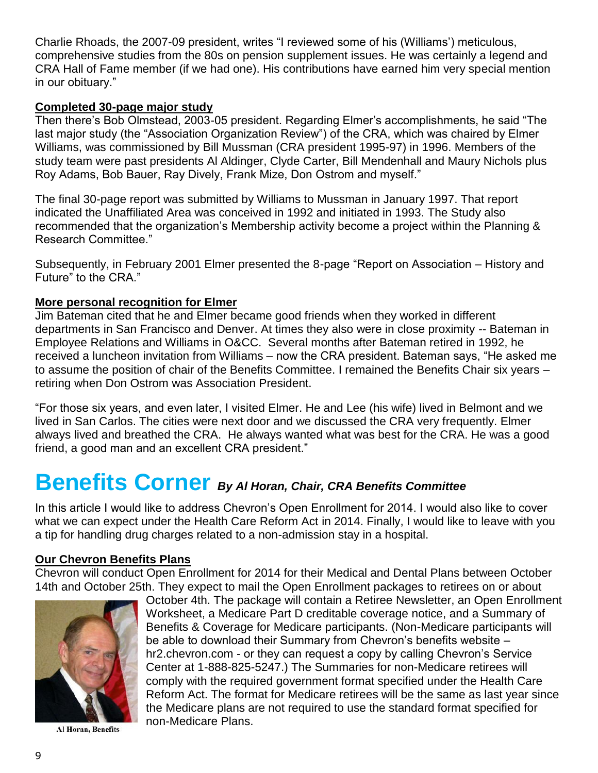Charlie Rhoads, the 2007-09 president, writes "I reviewed some of his (Williams') meticulous, comprehensive studies from the 80s on pension supplement issues. He was certainly a legend and CRA Hall of Fame member (if we had one). His contributions have earned him very special mention in our obituary."

#### **Completed 30-page major study**

Then there's Bob Olmstead, 2003-05 president. Regarding Elmer's accomplishments, he said "The last major study (the "Association Organization Review") of the CRA, which was chaired by Elmer Williams, was commissioned by Bill Mussman (CRA president 1995-97) in 1996. Members of the study team were past presidents Al Aldinger, Clyde Carter, Bill Mendenhall and Maury Nichols plus Roy Adams, Bob Bauer, Ray Dively, Frank Mize, Don Ostrom and myself."

The final 30-page report was submitted by Williams to Mussman in January 1997. That report indicated the Unaffiliated Area was conceived in 1992 and initiated in 1993. The Study also recommended that the organization's Membership activity become a project within the Planning & Research Committee."

Subsequently, in February 2001 Elmer presented the 8-page "Report on Association – History and Future" to the CRA."

### **More personal recognition for Elmer**

Jim Bateman cited that he and Elmer became good friends when they worked in different departments in San Francisco and Denver. At times they also were in close proximity -- Bateman in Employee Relations and Williams in O&CC. Several months after Bateman retired in 1992, he received a luncheon invitation from Williams – now the CRA president. Bateman says, "He asked me to assume the position of chair of the Benefits Committee. I remained the Benefits Chair six years – retiring when Don Ostrom was Association President.

"For those six years, and even later, I visited Elmer. He and Lee (his wife) lived in Belmont and we lived in San Carlos. The cities were next door and we discussed the CRA very frequently. Elmer always lived and breathed the CRA. He always wanted what was best for the CRA. He was a good friend, a good man and an excellent CRA president."

## **Benefits Corner** *By Al Horan, Chair, CRA Benefits Committee*

In this article I would like to address Chevron's Open Enrollment for 2014. I would also like to cover what we can expect under the Health Care Reform Act in 2014. Finally, I would like to leave with you a tip for handling drug charges related to a non-admission stay in a hospital.

#### **Our Chevron Benefits Plans**

Chevron will conduct Open Enrollment for 2014 for their Medical and Dental Plans between October 14th and October 25th. They expect to mail the Open Enrollment packages to retirees on or about



Al Horan, Benefits

October 4th. The package will contain a Retiree Newsletter, an Open Enrollment Worksheet, a Medicare Part D creditable coverage notice, and a Summary of Benefits & Coverage for Medicare participants. (Non-Medicare participants will be able to download their Summary from Chevron's benefits website – hr2.chevron.com - or they can request a copy by calling Chevron's Service Center at 1-888-825-5247.) The Summaries for non-Medicare retirees will comply with the required government format specified under the Health Care Reform Act. The format for Medicare retirees will be the same as last year since the Medicare plans are not required to use the standard format specified for non-Medicare Plans.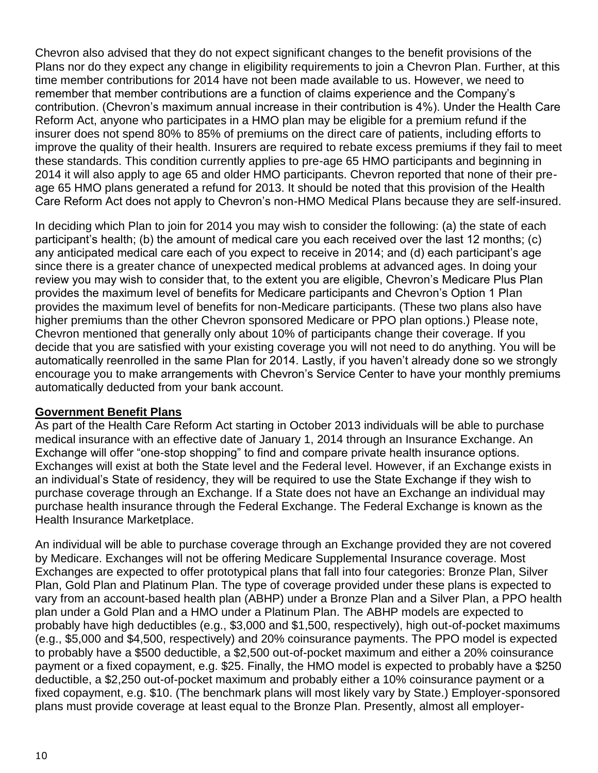Chevron also advised that they do not expect significant changes to the benefit provisions of the Plans nor do they expect any change in eligibility requirements to join a Chevron Plan. Further, at this time member contributions for 2014 have not been made available to us. However, we need to remember that member contributions are a function of claims experience and the Company's contribution. (Chevron's maximum annual increase in their contribution is 4%). Under the Health Care Reform Act, anyone who participates in a HMO plan may be eligible for a premium refund if the insurer does not spend 80% to 85% of premiums on the direct care of patients, including efforts to improve the quality of their health. Insurers are required to rebate excess premiums if they fail to meet these standards. This condition currently applies to pre-age 65 HMO participants and beginning in 2014 it will also apply to age 65 and older HMO participants. Chevron reported that none of their preage 65 HMO plans generated a refund for 2013. It should be noted that this provision of the Health Care Reform Act does not apply to Chevron's non-HMO Medical Plans because they are self-insured.

In deciding which Plan to join for 2014 you may wish to consider the following: (a) the state of each participant's health; (b) the amount of medical care you each received over the last 12 months; (c) any anticipated medical care each of you expect to receive in 2014; and (d) each participant's age since there is a greater chance of unexpected medical problems at advanced ages. In doing your review you may wish to consider that, to the extent you are eligible, Chevron's Medicare Plus Plan provides the maximum level of benefits for Medicare participants and Chevron's Option 1 Plan provides the maximum level of benefits for non-Medicare participants. (These two plans also have higher premiums than the other Chevron sponsored Medicare or PPO plan options.) Please note, Chevron mentioned that generally only about 10% of participants change their coverage. If you decide that you are satisfied with your existing coverage you will not need to do anything. You will be automatically reenrolled in the same Plan for 2014. Lastly, if you haven't already done so we strongly encourage you to make arrangements with Chevron's Service Center to have your monthly premiums automatically deducted from your bank account.

### **Government Benefit Plans**

As part of the Health Care Reform Act starting in October 2013 individuals will be able to purchase medical insurance with an effective date of January 1, 2014 through an Insurance Exchange. An Exchange will offer "one-stop shopping" to find and compare private health insurance options. Exchanges will exist at both the State level and the Federal level. However, if an Exchange exists in an individual's State of residency, they will be required to use the State Exchange if they wish to purchase coverage through an Exchange. If a State does not have an Exchange an individual may purchase health insurance through the Federal Exchange. The Federal Exchange is known as the Health Insurance Marketplace.

An individual will be able to purchase coverage through an Exchange provided they are not covered by Medicare. Exchanges will not be offering Medicare Supplemental Insurance coverage. Most Exchanges are expected to offer prototypical plans that fall into four categories: Bronze Plan, Silver Plan, Gold Plan and Platinum Plan. The type of coverage provided under these plans is expected to vary from an account-based health plan (ABHP) under a Bronze Plan and a Silver Plan, a PPO health plan under a Gold Plan and a HMO under a Platinum Plan. The ABHP models are expected to probably have high deductibles (e.g., \$3,000 and \$1,500, respectively), high out-of-pocket maximums (e.g., \$5,000 and \$4,500, respectively) and 20% coinsurance payments. The PPO model is expected to probably have a \$500 deductible, a \$2,500 out-of-pocket maximum and either a 20% coinsurance payment or a fixed copayment, e.g. \$25. Finally, the HMO model is expected to probably have a \$250 deductible, a \$2,250 out-of-pocket maximum and probably either a 10% coinsurance payment or a fixed copayment, e.g. \$10. (The benchmark plans will most likely vary by State.) Employer-sponsored plans must provide coverage at least equal to the Bronze Plan. Presently, almost all employer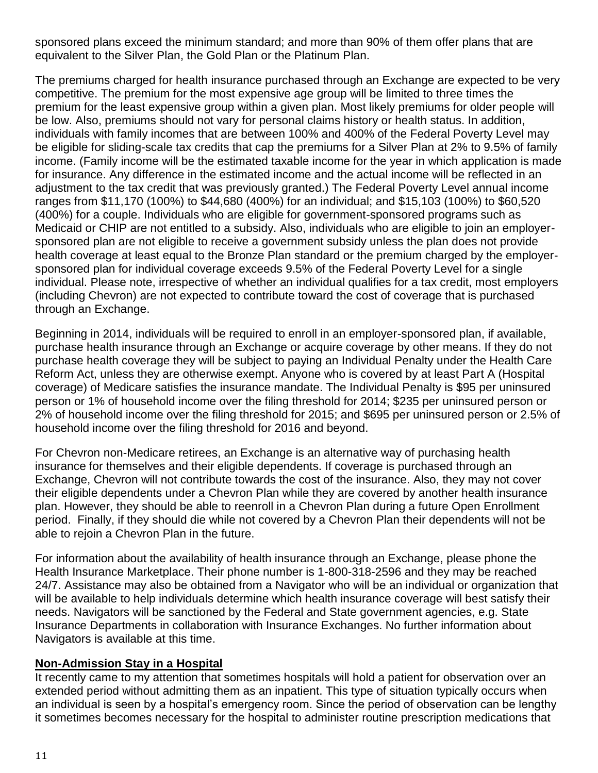sponsored plans exceed the minimum standard; and more than 90% of them offer plans that are equivalent to the Silver Plan, the Gold Plan or the Platinum Plan.

The premiums charged for health insurance purchased through an Exchange are expected to be very competitive. The premium for the most expensive age group will be limited to three times the premium for the least expensive group within a given plan. Most likely premiums for older people will be low. Also, premiums should not vary for personal claims history or health status. In addition, individuals with family incomes that are between 100% and 400% of the Federal Poverty Level may be eligible for sliding-scale tax credits that cap the premiums for a Silver Plan at 2% to 9.5% of family income. (Family income will be the estimated taxable income for the year in which application is made for insurance. Any difference in the estimated income and the actual income will be reflected in an adjustment to the tax credit that was previously granted.) The Federal Poverty Level annual income ranges from \$11,170 (100%) to \$44,680 (400%) for an individual; and \$15,103 (100%) to \$60,520 (400%) for a couple. Individuals who are eligible for government-sponsored programs such as Medicaid or CHIP are not entitled to a subsidy. Also, individuals who are eligible to join an employersponsored plan are not eligible to receive a government subsidy unless the plan does not provide health coverage at least equal to the Bronze Plan standard or the premium charged by the employersponsored plan for individual coverage exceeds 9.5% of the Federal Poverty Level for a single individual. Please note, irrespective of whether an individual qualifies for a tax credit, most employers (including Chevron) are not expected to contribute toward the cost of coverage that is purchased through an Exchange.

Beginning in 2014, individuals will be required to enroll in an employer-sponsored plan, if available, purchase health insurance through an Exchange or acquire coverage by other means. If they do not purchase health coverage they will be subject to paying an Individual Penalty under the Health Care Reform Act, unless they are otherwise exempt. Anyone who is covered by at least Part A (Hospital coverage) of Medicare satisfies the insurance mandate. The Individual Penalty is \$95 per uninsured person or 1% of household income over the filing threshold for 2014; \$235 per uninsured person or 2% of household income over the filing threshold for 2015; and \$695 per uninsured person or 2.5% of household income over the filing threshold for 2016 and beyond.

For Chevron non-Medicare retirees, an Exchange is an alternative way of purchasing health insurance for themselves and their eligible dependents. If coverage is purchased through an Exchange, Chevron will not contribute towards the cost of the insurance. Also, they may not cover their eligible dependents under a Chevron Plan while they are covered by another health insurance plan. However, they should be able to reenroll in a Chevron Plan during a future Open Enrollment period. Finally, if they should die while not covered by a Chevron Plan their dependents will not be able to rejoin a Chevron Plan in the future.

For information about the availability of health insurance through an Exchange, please phone the Health Insurance Marketplace. Their phone number is 1-800-318-2596 and they may be reached 24/7. Assistance may also be obtained from a Navigator who will be an individual or organization that will be available to help individuals determine which health insurance coverage will best satisfy their needs. Navigators will be sanctioned by the Federal and State government agencies, e.g. State Insurance Departments in collaboration with Insurance Exchanges. No further information about Navigators is available at this time.

#### **Non-Admission Stay in a Hospital**

It recently came to my attention that sometimes hospitals will hold a patient for observation over an extended period without admitting them as an inpatient. This type of situation typically occurs when an individual is seen by a hospital's emergency room. Since the period of observation can be lengthy it sometimes becomes necessary for the hospital to administer routine prescription medications that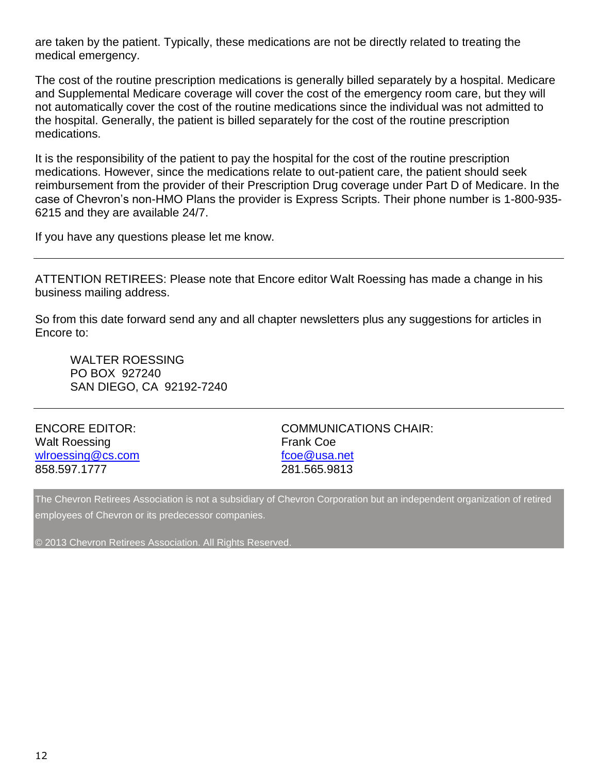are taken by the patient. Typically, these medications are not be directly related to treating the medical emergency.

The cost of the routine prescription medications is generally billed separately by a hospital. Medicare and Supplemental Medicare coverage will cover the cost of the emergency room care, but they will not automatically cover the cost of the routine medications since the individual was not admitted to the hospital. Generally, the patient is billed separately for the cost of the routine prescription medications.

It is the responsibility of the patient to pay the hospital for the cost of the routine prescription medications. However, since the medications relate to out-patient care, the patient should seek reimbursement from the provider of their Prescription Drug coverage under Part D of Medicare. In the case of Chevron's non-HMO Plans the provider is Express Scripts. Their phone number is 1-800-935- 6215 and they are available 24/7.

If you have any questions please let me know.

ATTENTION RETIREES: Please note that Encore editor Walt Roessing has made a change in his business mailing address.

So from this date forward send any and all chapter newsletters plus any suggestions for articles in Encore to:

WALTER ROESSING PO BOX 927240 SAN DIEGO, CA 92192-7240

| <b>ENCORE EDITOR:</b> |  |
|-----------------------|--|
| <b>Walt Roessing</b>  |  |
| wlroessing@cs.com     |  |
| 858.597.1777          |  |

COMMUNICATIONS CHAIR: Frank Coe [fcoe@usa.net](mailto:fcoe@usa.net) 281.565.9813

The Chevron Retirees Association is not a subsidiary of Chevron Corporation but an independent organization of retired employees of Chevron or its predecessor companies.

© 2013 Chevron Retirees Association. All Rights Reserved.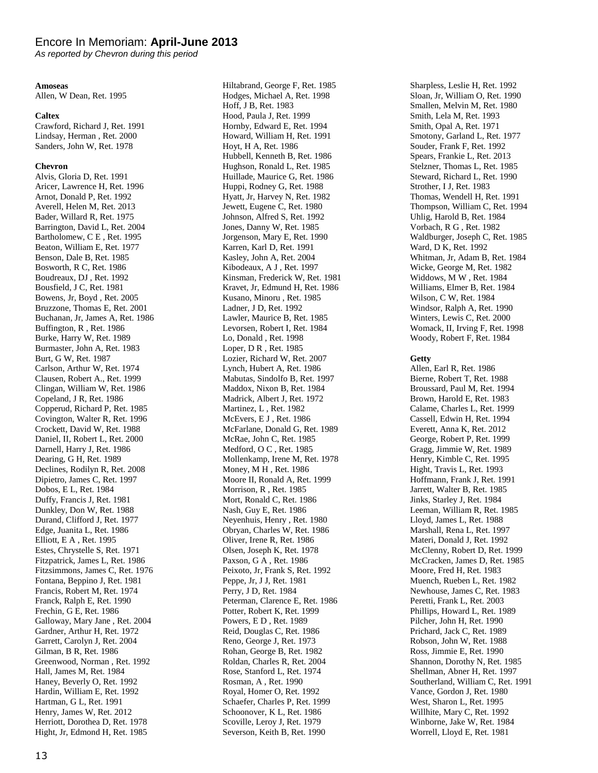#### Encore In Memoriam: **April-June 2013**

*As reported by Chevron during this period*

#### **Amoseas**

Allen, W Dean, Ret. 1995

#### **Caltex**

Crawford, Richard J, Ret. 1991 Lindsay, Herman , Ret. 2000 Sanders, John W, Ret. 1978

#### **Chevron**

Alvis, Gloria D, Ret. 1991 Aricer, Lawrence H, Ret. 1996 Arnot, Donald P, Ret. 1992 Averell, Helen M, Ret. 2013 Bader, Willard R, Ret. 1975 Barrington, David L, Ret. 2004 Bartholomew, C E , Ret. 1995 Beaton, William E, Ret. 1977 Benson, Dale B, Ret. 1985 Bosworth, R C, Ret. 1986 Boudreaux, DJ , Ret. 1992 Bousfield, J C, Ret. 1981 Bowens, Jr, Boyd , Ret. 2005 Bruzzone, Thomas E, Ret. 2001 Buchanan, Jr, James A, Ret. 1986 Buffington, R , Ret. 1986 Burke, Harry W, Ret. 1989 Burmaster, John A, Ret. 1983 Burt, G W, Ret. 1987 Carlson, Arthur W, Ret. 1974 Clausen, Robert A., Ret. 1999 Clingan, William W, Ret. 1986 Copeland, J R, Ret. 1986 Copperud, Richard P, Ret. 1985 Covington, Walter R, Ret. 1996 Crockett, David W, Ret. 1988 Daniel, II, Robert L, Ret. 2000 Darnell, Harry J, Ret. 1986 Dearing, G H, Ret. 1989 Declines, Rodilyn R, Ret. 2008 Dipietro, James C, Ret. 1997 Dobos, E L, Ret. 1984 Duffy, Francis J, Ret. 1981 Dunkley, Don W, Ret. 1988 Durand, Clifford J, Ret. 1977 Edge, Juanita L, Ret. 1986 Elliott, E A , Ret. 1995 Estes, Chrystelle S, Ret. 1971 Fitzpatrick, James L, Ret. 1986 Fitzsimmons, James C, Ret. 1976 Fontana, Beppino J, Ret. 1981 Francis, Robert M, Ret. 1974 Franck, Ralph E, Ret. 1990 Frechin, G E, Ret. 1986 Galloway, Mary Jane , Ret. 2004 Gardner, Arthur H, Ret. 1972 Garrett, Carolyn J, Ret. 2004 Gilman, B R, Ret. 1986 Greenwood, Norman , Ret. 1992 Hall, James M, Ret. 1984 Haney, Beverly O, Ret. 1992 Hardin, William E, Ret. 1992 Hartman, G L, Ret. 1991 Henry, James W, Ret. 2012 Herriott, Dorothea D, Ret. 1978 Hight, Jr, Edmond H, Ret. 1985

Hiltabrand, George F, Ret. 1985 Hodges, Michael A, Ret. 1998 Hoff, J B, Ret. 1983 Hood, Paula J, Ret. 1999 Hornby, Edward E, Ret. 1994 Howard, William H, Ret. 1991 Hoyt, H A, Ret. 1986 Hubbell, Kenneth B, Ret. 1986 Hughson, Ronald L, Ret. 1985 Huillade, Maurice G, Ret. 1986 Huppi, Rodney G, Ret. 1988 Hyatt, Jr, Harvey N, Ret. 1982 Jewett, Eugene C, Ret. 1980 Johnson, Alfred S, Ret. 1992 Jones, Danny W, Ret. 1985 Jorgenson, Mary E, Ret. 1990 Karren, Karl D, Ret. 1991 Kasley, John A, Ret. 2004 Kibodeaux, A J , Ret. 1997 Kinsman, Frederick W, Ret. 1981 Kravet, Jr, Edmund H, Ret. 1986 Kusano, Minoru , Ret. 1985 Ladner, J D, Ret. 1992 Lawler, Maurice B, Ret. 1985 Levorsen, Robert I, Ret. 1984 Lo, Donald , Ret. 1998 Loper, D R , Ret. 1985 Lozier, Richard W, Ret. 2007 Lynch, Hubert A, Ret. 1986 Mabutas, Sindolfo B, Ret. 1997 Maddox, Nixon B, Ret. 1984 Madrick, Albert J, Ret. 1972 Martinez, L , Ret. 1982 McEvers, E J , Ret. 1986 McFarlane, Donald G, Ret. 1989 McRae, John C, Ret. 1985 Medford, O C , Ret. 1985 Mollenkamp, Irene M, Ret. 1978 Money, M H , Ret. 1986 Moore II, Ronald A, Ret. 1999 Morrison, R , Ret. 1985 Mort, Ronald C, Ret. 1986 Nash, Guy E, Ret. 1986 Neyenhuis, Henry , Ret. 1980 Obryan, Charles W, Ret. 1986 Oliver, Irene R, Ret. 1986 Olsen, Joseph K, Ret. 1978 Paxson, G A , Ret. 1986 Peixoto, Jr, Frank S, Ret. 1992 Peppe, Jr, J J, Ret. 1981 Perry, J D, Ret. 1984 Peterman, Clarence E, Ret. 1986 Potter, Robert K, Ret. 1999 Powers, E D , Ret. 1989 Reid, Douglas C, Ret. 1986 Reno, George J, Ret. 1973 Rohan, George B, Ret. 1982 Roldan, Charles R, Ret. 2004 Rose, Stanford L, Ret. 1974 Rosman, A , Ret. 1990 Royal, Homer O, Ret. 1992 Schaefer, Charles P, Ret. 1999 Schoonover, K L, Ret. 1986 Scoville, Leroy J, Ret. 1979 Severson, Keith B, Ret. 1990

Sharpless, Leslie H, Ret. 1992 Sloan, Jr, William O, Ret. 1990 Smallen, Melvin M, Ret. 1980 Smith, Lela M, Ret. 1993 Smith, Opal A, Ret. 1971 Smotony, Garland L, Ret. 1977 Souder, Frank F, Ret. 1992 Spears, Frankie L, Ret. 2013 Stelzner, Thomas L, Ret. 1985 Steward, Richard L, Ret. 1990 Strother, I J, Ret. 1983 Thomas, Wendell H, Ret. 1991 Thompson, William C, Ret. 1994 Uhlig, Harold B, Ret. 1984 Vorbach, R G , Ret. 1982 Waldburger, Joseph C, Ret. 1985 Ward, D K, Ret. 1992 Whitman, Jr, Adam B, Ret. 1984 Wicke, George M, Ret. 1982 Widdows, M W , Ret. 1984 Williams, Elmer B, Ret. 1984 Wilson, C W, Ret. 1984 Windsor, Ralph A, Ret. 1990 Winters, Lewis C, Ret. 2000 Womack, II, Irving F, Ret. 1998 Woody, Robert F, Ret. 1984

#### **Getty**

Allen, Earl R, Ret. 1986 Bierne, Robert T, Ret. 1988 Broussard, Paul M, Ret. 1994 Brown, Harold E, Ret. 1983 Calame, Charles L, Ret. 1999 Cassell, Edwin H, Ret. 1994 Everett, Anna K, Ret. 2012 George, Robert P, Ret. 1999 Gragg, Jimmie W, Ret. 1989 Henry, Kimble C, Ret. 1995 Hight, Travis L, Ret. 1993 Hoffmann, Frank J, Ret. 1991 Jarrett, Walter B, Ret. 1985 Jinks, Starley J, Ret. 1984 Leeman, William R, Ret. 1985 Lloyd, James L, Ret. 1988 Marshall, Rena L, Ret. 1997 Materi, Donald J, Ret. 1992 McClenny, Robert D, Ret. 1999 McCracken, James D, Ret. 1985 Moore, Fred H, Ret. 1983 Muench, Rueben L, Ret. 1982 Newhouse, James C, Ret. 1983 Peretti, Frank L, Ret. 2003 Phillips, Howard L, Ret. 1989 Pilcher, John H, Ret. 1990 Prichard, Jack C, Ret. 1989 Robson, John W, Ret. 1988 Ross, Jimmie E, Ret. 1990 Shannon, Dorothy N, Ret. 1985 Shellman, Abner H, Ret. 1997 Southerland, William C, Ret. 1991 Vance, Gordon J, Ret. 1980 West, Sharon L, Ret. 1995 Willhite, Mary C, Ret. 1992 Winborne, Jake W, Ret. 1984 Worrell, Lloyd E, Ret. 1981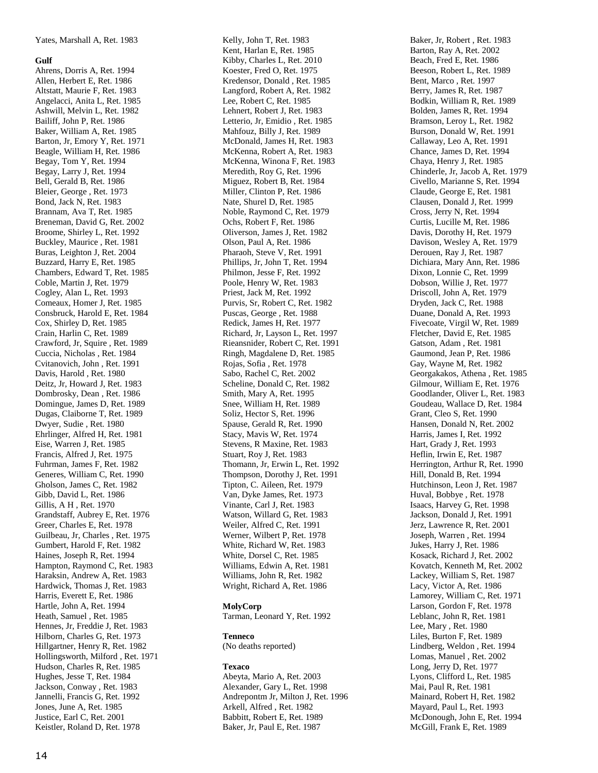#### **Gulf**

Ahrens, Dorris A, Ret. 1994 Allen, Herbert E, Ret. 1986 Altstatt, Maurie F, Ret. 1983 Angelacci, Anita L, Ret. 1985 Ashwill, Melvin L, Ret. 1982 Bailiff, John P, Ret. 1986 Baker, William A, Ret. 1985 Barton, Jr, Emory Y, Ret. 1971 Beagle, William H, Ret. 1986 Begay, Tom Y, Ret. 1994 Begay, Larry J, Ret. 1994 Bell, Gerald B, Ret. 1986 Bleier, George , Ret. 1973 Bond, Jack N, Ret. 1983 Brannam, Ava T, Ret. 1985 Breneman, David G, Ret. 2002 Broome, Shirley L, Ret. 1992 Buckley, Maurice , Ret. 1981 Buras, Leighton J, Ret. 2004 Buzzard, Harry E, Ret. 1985 Chambers, Edward T, Ret. 1985 Coble, Martin J, Ret. 1979 Cogley, Alan L, Ret. 1993 Comeaux, Homer J, Ret. 1985 Consbruck, Harold E, Ret. 1984 Cox, Shirley D, Ret. 1985 Crain, Harlin C, Ret. 1989 Crawford, Jr, Squire , Ret. 1989 Cuccia, Nicholas , Ret. 1984 Cvitanovich, John , Ret. 1991 Davis, Harold , Ret. 1980 Deitz, Jr, Howard J, Ret. 1983 Dombrosky, Dean , Ret. 1986 Domingue, James D, Ret. 1989 Dugas, Claiborne T, Ret. 1989 Dwyer, Sudie , Ret. 1980 Ehrlinger, Alfred H, Ret. 1981 Eise, Warren J, Ret. 1985 Francis, Alfred J, Ret. 1975 Fuhrman, James F, Ret. 1982 Generes, William C, Ret. 1990 Gholson, James C, Ret. 1982 Gibb, David L, Ret. 1986 Gillis, A H , Ret. 1970 Grandstaff, Aubrey E, Ret. 1976 Greer, Charles E, Ret. 1978 Guilbeau, Jr, Charles , Ret. 1975 Gumbert, Harold F, Ret. 1982 Haines, Joseph R, Ret. 1994 Hampton, Raymond C, Ret. 1983 Haraksin, Andrew A, Ret. 1983 Hardwick, Thomas J, Ret. 1983 Harris, Everett E, Ret. 1986 Hartle, John A, Ret. 1994 Heath, Samuel , Ret. 1985 Hennes, Jr, Freddie J, Ret. 1983 Hilborn, Charles G, Ret. 1973 Hillgartner, Henry R, Ret. 1982 Hollingsworth, Milford , Ret. 1971 Hudson, Charles R, Ret. 1985 Hughes, Jesse T, Ret. 1984 Jackson, Conway , Ret. 1983 Jannelli, Francis G, Ret. 1992 Jones, June A, Ret. 1985 Justice, Earl C, Ret. 2001 Keistler, Roland D, Ret. 1978

Kelly, John T, Ret. 1983 Kent, Harlan E, Ret. 1985 Kibby, Charles L, Ret. 2010 Koester, Fred O, Ret. 1975 Kredensor, Donald , Ret. 1985 Langford, Robert A, Ret. 1982 Lee, Robert C, Ret. 1985 Lehnert, Robert J, Ret. 1983 Letterio, Jr, Emidio , Ret. 1985 Mahfouz, Billy J, Ret. 1989 McDonald, James H, Ret. 1983 McKenna, Robert A, Ret. 1983 McKenna, Winona F, Ret. 1983 Meredith, Roy G, Ret. 1996 Miguez, Robert B, Ret. 1984 Miller, Clinton P, Ret. 1986 Nate, Shurel D, Ret. 1985 Noble, Raymond C, Ret. 1979 Ochs, Robert F, Ret. 1986 Oliverson, James J, Ret. 1982 Olson, Paul A, Ret. 1986 Pharaoh, Steve V, Ret. 1991 Phillips, Jr, John T, Ret. 1994 Philmon, Jesse F, Ret. 1992 Poole, Henry W, Ret. 1983 Priest, Jack M, Ret. 1992 Purvis, Sr, Robert C, Ret. 1982 Puscas, George , Ret. 1988 Redick, James H, Ret. 1977 Richard, Jr, Layson L, Ret. 1997 Rieansnider, Robert C, Ret. 1991 Ringh, Magdalene D, Ret. 1985 Rojas, Sofia , Ret. 1978 Sabo, Rachel C, Ret. 2002 Scheline, Donald C, Ret. 1982 Smith, Mary A, Ret. 1995 Snee, William H, Ret. 1989 Soliz, Hector S, Ret. 1996 Spause, Gerald R, Ret. 1990 Stacy, Mavis W, Ret. 1974 Stevens, R Maxine, Ret. 1983 Stuart, Roy J, Ret. 1983 Thomann, Jr, Erwin L, Ret. 1992 Thompson, Dorothy J, Ret. 1991 Tipton, C. Aileen, Ret. 1979 Van, Dyke James, Ret. 1973 Vinante, Carl J, Ret. 1983 Watson, Willard G, Ret. 1983 Weiler, Alfred C, Ret. 1991 Werner, Wilbert P, Ret. 1978 White, Richard W, Ret. 1983 White, Dorsel C, Ret. 1985 Williams, Edwin A, Ret. 1981 Williams, John R, Ret. 1982 Wright, Richard A, Ret. 1986

#### **MolyCorp**

Tarman, Leonard Y, Ret. 1992

#### **Tenneco**

(No deaths reported)

#### **Texaco**

Abeyta, Mario A, Ret. 2003 Alexander, Gary L, Ret. 1998 Andrepontm Jr, Milton J, Ret. 1996 Arkell, Alfred , Ret. 1982 Babbitt, Robert E, Ret. 1989 Baker, Jr, Paul E, Ret. 1987

Baker, Jr, Robert , Ret. 1983 Barton, Ray A, Ret. 2002 Beach, Fred E, Ret. 1986 Beeson, Robert L, Ret. 1989 Bent, Marco , Ret. 1997 Berry, James R, Ret. 1987 Bodkin, William R, Ret. 1989 Bolden, James R, Ret. 1994 Bramson, Leroy L, Ret. 1982 Burson, Donald W, Ret. 1991 Callaway, Leo A, Ret. 1991 Chance, James D, Ret. 1994 Chaya, Henry J, Ret. 1985 Chinderle, Jr, Jacob A, Ret. 1979 Civello, Marianne S, Ret. 1994 Claude, George E, Ret. 1981 Clausen, Donald J, Ret. 1999 Cross, Jerry N, Ret. 1994 Curtis, Lucille M, Ret. 1986 Davis, Dorothy H, Ret. 1979 Davison, Wesley A, Ret. 1979 Derouen, Ray J, Ret. 1987 Dichiara, Mary Ann, Ret. 1986 Dixon, Lonnie C, Ret. 1999 Dobson, Willie J, Ret. 1977 Driscoll, John A, Ret. 1979 Dryden, Jack C, Ret. 1988 Duane, Donald A, Ret. 1993 Fivecoate, Virgil W, Ret. 1989 Fletcher, David E, Ret. 1985 Gatson, Adam , Ret. 1981 Gaumond, Jean P, Ret. 1986 Gay, Wayne M, Ret. 1982 Georgakakos, Athena , Ret. 1985 Gilmour, William E, Ret. 1976 Goodlander, Oliver L, Ret. 1983 Goudeau, Wallace D, Ret. 1984 Grant, Cleo S, Ret. 1990 Hansen, Donald N, Ret. 2002 Harris, James I, Ret. 1992 Hart, Grady J, Ret. 1993 Heflin, Irwin E, Ret. 1987 Herrington, Arthur R, Ret. 1990 Hill, Donald B, Ret. 1994 Hutchinson, Leon J, Ret. 1987 Huval, Bobbye , Ret. 1978 Isaacs, Harvey G, Ret. 1998 Jackson, Donald J, Ret. 1991 Jerz, Lawrence R, Ret. 2001 Joseph, Warren , Ret. 1994 Jukes, Harry J, Ret. 1986 Kosack, Richard J, Ret. 2002 Kovatch, Kenneth M, Ret. 2002 Lackey, William S, Ret. 1987 Lacy, Victor A, Ret. 1986 Lamorey, William C, Ret. 1971 Larson, Gordon F, Ret. 1978 Leblanc, John R, Ret. 1981 Lee, Mary , Ret. 1980 Liles, Burton F, Ret. 1989 Lindberg, Weldon , Ret. 1994 Lomas, Manuel , Ret. 2002 Long, Jerry D, Ret. 197 7 Lyons, Clifford L, Ret. 1985 Mai, Paul R, Ret. 1981 Mainard, Robert H, Ret. 1982 Mayard, Paul L, Ret. 1993 McDonough, John E, Ret. 1994 McGill, Frank E, Ret. 1989